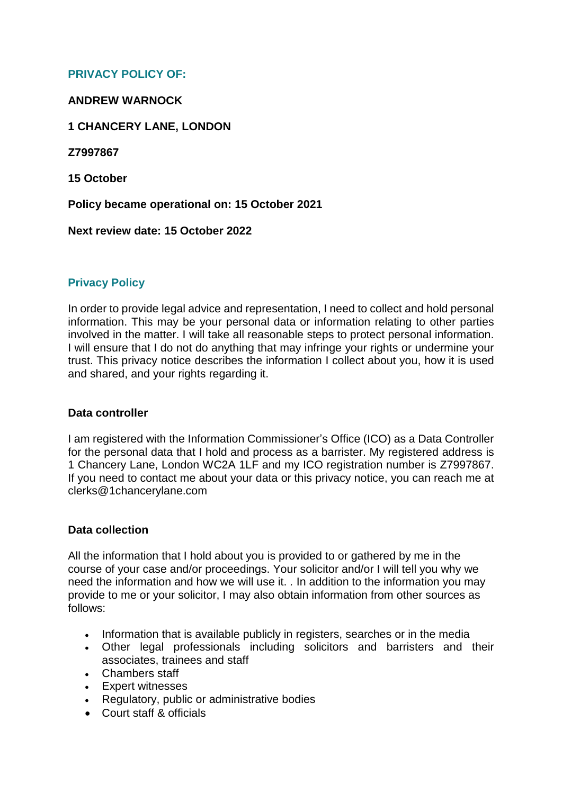# **PRIVACY POLICY OF:**

### **ANDREW WARNOCK**

## **1 CHANCERY LANE, LONDON**

**Z7997867**

**15 October**

**Policy became operational on: 15 October 2021**

**Next review date: 15 October 2022**

# **Privacy Policy**

In order to provide legal advice and representation, I need to collect and hold personal information. This may be your personal data or information relating to other parties involved in the matter. I will take all reasonable steps to protect personal information. I will ensure that I do not do anything that may infringe your rights or undermine your trust. This privacy notice describes the information I collect about you, how it is used and shared, and your rights regarding it.

### **Data controller**

I am registered with the Information Commissioner's Office (ICO) as a Data Controller for the personal data that I hold and process as a barrister. My registered address is 1 Chancery Lane, London WC2A 1LF and my ICO registration number is Z7997867. If you need to contact me about your data or this privacy notice, you can reach me at clerks@1chancerylane.com

### **Data collection**

All the information that I hold about you is provided to or gathered by me in the course of your case and/or proceedings. Your solicitor and/or I will tell you why we need the information and how we will use it. *.* In addition to the information you may provide to me or your solicitor, I may also obtain information from other sources as follows:

- Information that is available publicly in registers, searches or in the media
- Other legal professionals including solicitors and barristers and their associates, trainees and staff
- Chambers staff
- Expert witnesses
- Regulatory, public or administrative bodies
- Court staff & officials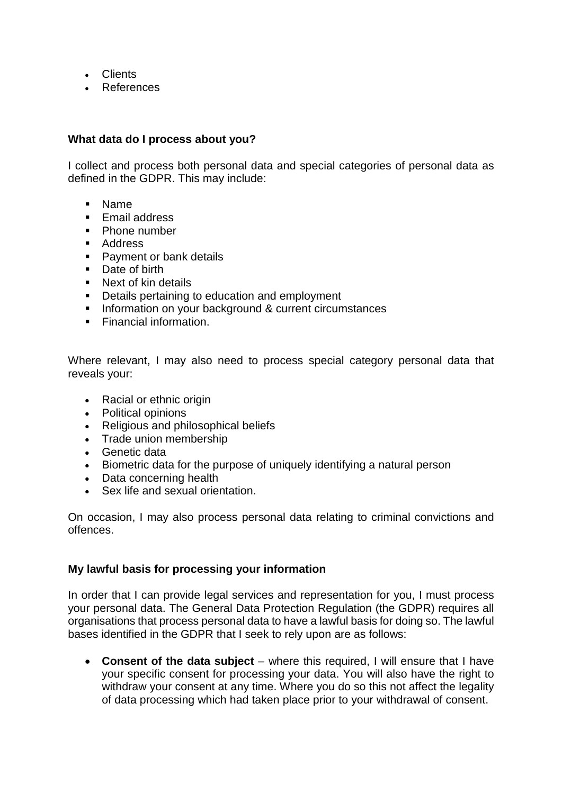- Clients
- References

## **What data do I process about you?**

I collect and process both personal data and special categories of personal data as defined in the GDPR. This may include:

- Name
- **F** Fmail address
- Phone number
- **Address**
- **Payment or bank details**
- Date of birth
- **Next of kin details**
- Details pertaining to education and employment
- **Information on your background & current circumstances**
- **Financial information.**

Where relevant, I may also need to process special category personal data that reveals your:

- Racial or ethnic origin
- Political opinions
- Religious and philosophical beliefs
- Trade union membership
- Genetic data
- Biometric data for the purpose of uniquely identifying a natural person
- Data concerning health
- Sex life and sexual orientation.

On occasion, I may also process personal data relating to criminal convictions and offences.

### **My lawful basis for processing your information**

In order that I can provide legal services and representation for you, I must process your personal data. The General Data Protection Regulation (the GDPR) requires all organisations that process personal data to have a lawful basis for doing so. The lawful bases identified in the GDPR that I seek to rely upon are as follows:

 **Consent of the data subject** – where this required, I will ensure that I have your specific consent for processing your data. You will also have the right to withdraw your consent at any time. Where you do so this not affect the legality of data processing which had taken place prior to your withdrawal of consent.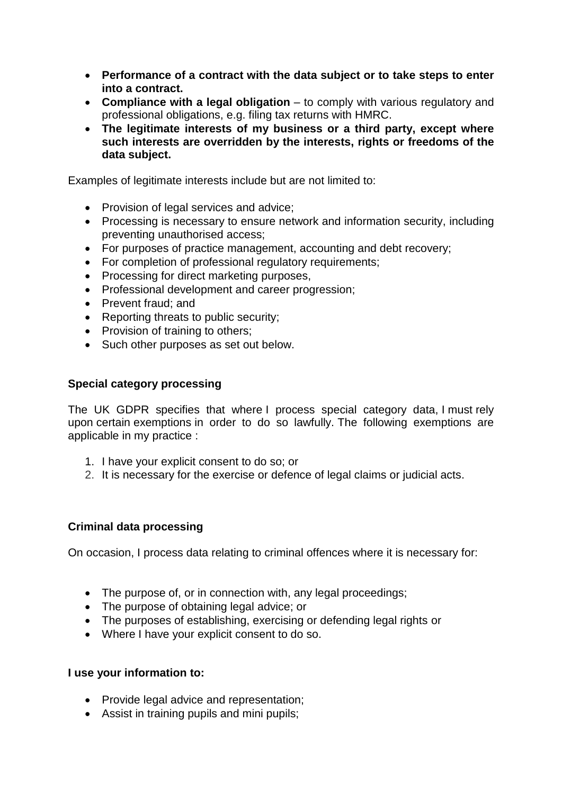- **Performance of a contract with the data subject or to take steps to enter into a contract.**
- **Compliance with a legal obligation** to comply with various regulatory and professional obligations, e.g. filing tax returns with HMRC.
- **The legitimate interests of my business or a third party, except where such interests are overridden by the interests, rights or freedoms of the data subject.**

Examples of legitimate interests include but are not limited to:

- Provision of legal services and advice;
- Processing is necessary to ensure network and information security, including preventing unauthorised access;
- For purposes of practice management, accounting and debt recovery;
- For completion of professional regulatory requirements;
- Processing for direct marketing purposes,
- Professional development and career progression;
- Prevent fraud: and
- Reporting threats to public security;
- Provision of training to others;
- Such other purposes as set out below.

# **Special category processing**

The UK GDPR specifies that where I process special category data, I must rely upon certain exemptions in order to do so lawfully. The following exemptions are applicable in my practice :

- 1. I have your explicit consent to do so; or
- 2. It is necessary for the exercise or defence of legal claims or judicial acts.

# **Criminal data processing**

On occasion, I process data relating to criminal offences where it is necessary for:

- The purpose of, or in connection with, any legal proceedings;
- The purpose of obtaining legal advice; or
- The purposes of establishing, exercising or defending legal rights or
- Where I have your explicit consent to do so.

### **I use your information to:**

- Provide legal advice and representation:
- Assist in training pupils and mini pupils;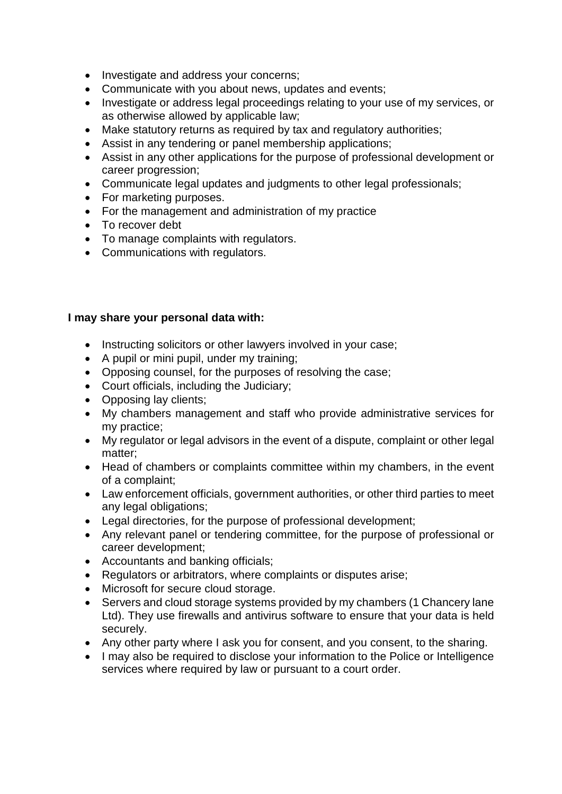- Investigate and address your concerns;
- Communicate with you about news, updates and events;
- Investigate or address legal proceedings relating to your use of my services, or as otherwise allowed by applicable law;
- Make statutory returns as required by tax and regulatory authorities;
- Assist in any tendering or panel membership applications;
- Assist in any other applications for the purpose of professional development or career progression;
- Communicate legal updates and judgments to other legal professionals;
- For marketing purposes.
- For the management and administration of my practice
- To recover debt
- To manage complaints with regulators.
- Communications with regulators.

# **I may share your personal data with:**

- Instructing solicitors or other lawyers involved in your case;
- A pupil or mini pupil, under my training;
- Opposing counsel, for the purposes of resolving the case;
- Court officials, including the Judiciary;
- Opposing lay clients;
- My chambers management and staff who provide administrative services for my practice;
- My regulator or legal advisors in the event of a dispute, complaint or other legal matter;
- Head of chambers or complaints committee within my chambers, in the event of a complaint;
- Law enforcement officials, government authorities, or other third parties to meet any legal obligations;
- Legal directories, for the purpose of professional development;
- Any relevant panel or tendering committee, for the purpose of professional or career development;
- Accountants and banking officials;
- Regulators or arbitrators, where complaints or disputes arise;
- Microsoft for secure cloud storage.
- Servers and cloud storage systems provided by my chambers (1 Chancery lane Ltd). They use firewalls and antivirus software to ensure that your data is held securely.
- Any other party where I ask you for consent, and you consent, to the sharing.
- I may also be required to disclose your information to the Police or Intelligence services where required by law or pursuant to a court order.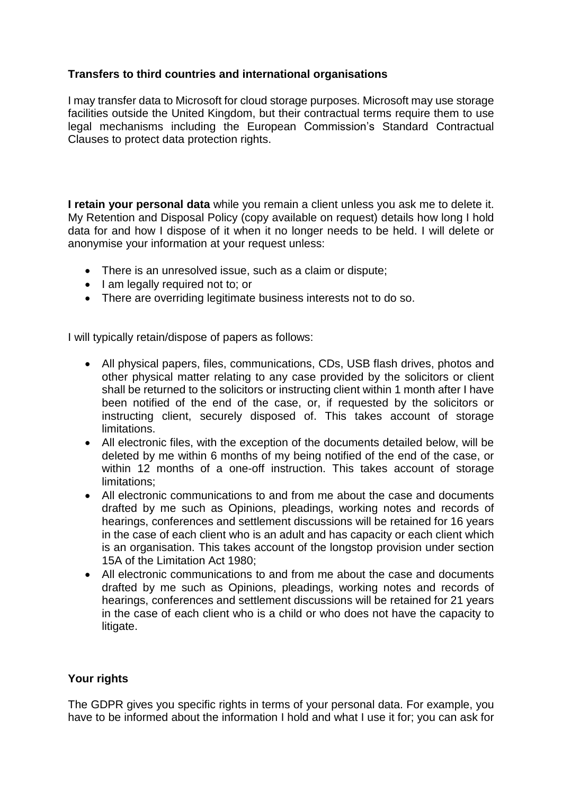# **Transfers to third countries and international organisations**

I may transfer data to Microsoft for cloud storage purposes. Microsoft may use storage facilities outside the United Kingdom, but their contractual terms require them to use legal mechanisms including the European Commission's Standard Contractual Clauses to protect data protection rights.

**I retain your personal data** while you remain a client unless you ask me to delete it. My Retention and Disposal Policy (copy available on request) details how long I hold data for and how I dispose of it when it no longer needs to be held. I will delete or anonymise your information at your request unless:

- There is an unresolved issue, such as a claim or dispute;
- I am legally required not to; or
- There are overriding legitimate business interests not to do so.

I will typically retain/dispose of papers as follows:

- All physical papers, files, communications, CDs, USB flash drives, photos and other physical matter relating to any case provided by the solicitors or client shall be returned to the solicitors or instructing client within 1 month after I have been notified of the end of the case, or, if requested by the solicitors or instructing client, securely disposed of. This takes account of storage limitations.
- All electronic files, with the exception of the documents detailed below, will be deleted by me within 6 months of my being notified of the end of the case, or within 12 months of a one-off instruction. This takes account of storage limitations;
- All electronic communications to and from me about the case and documents drafted by me such as Opinions, pleadings, working notes and records of hearings, conferences and settlement discussions will be retained for 16 years in the case of each client who is an adult and has capacity or each client which is an organisation. This takes account of the longstop provision under section 15A of the Limitation Act 1980;
- All electronic communications to and from me about the case and documents drafted by me such as Opinions, pleadings, working notes and records of hearings, conferences and settlement discussions will be retained for 21 years in the case of each client who is a child or who does not have the capacity to litigate.

# **Your rights**

The GDPR gives you specific rights in terms of your personal data. For example, you have to be informed about the information I hold and what I use it for; you can ask for